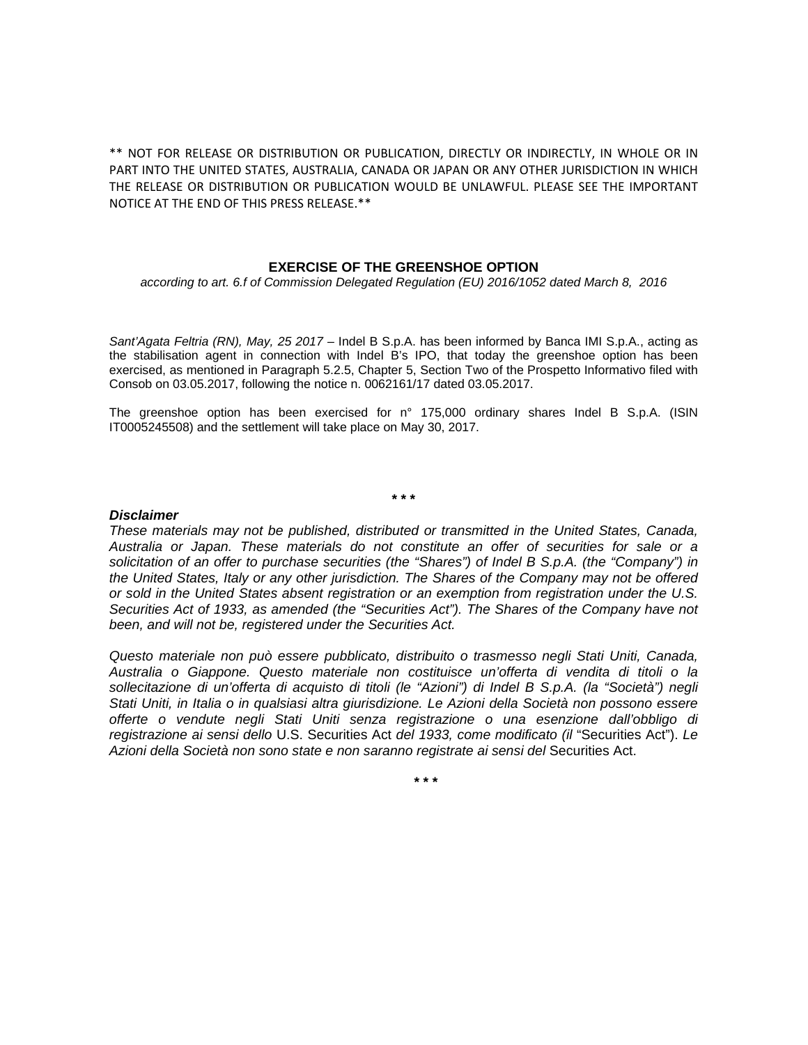\*\* NOT FOR RELEASE OR DISTRIBUTION OR PUBLICATION, DIRECTLY OR INDIRECTLY, IN WHOLE OR IN PART INTO THE UNITED STATES, AUSTRALIA, CANADA OR JAPAN OR ANY OTHER JURISDICTION IN WHICH THE RELEASE OR DISTRIBUTION OR PUBLICATION WOULD BE UNLAWFUL. PLEASE SEE THE IMPORTANT NOTICE AT THE END OF THIS PRESS RELEASE.\*\*

## **EXERCISE OF THE GREENSHOE OPTION**

*according to art. 6.f of Commission Delegated Regulation (EU) 2016/1052 dated March 8, 2016* 

Sant'Agata Feltria (RN), May, 25 2017 – Indel B S.p.A. has been informed by Banca IMI S.p.A., acting as the stabilisation agent in connection with Indel B's IPO, that today the greenshoe option has been exercised, as mentioned in Paragraph 5.2.5, Chapter 5, Section Two of the Prospetto Informativo filed with Consob on 03.05.2017, following the notice n. 0062161/17 dated 03.05.2017.

The greenshoe option has been exercised for n° 175,000 ordinary shares Indel B S.p.A. (ISIN IT0005245508) and the settlement will take place on May 30, 2017.

## **\* \* \***

## *Disclaimer*

*These materials may not be published, distributed or transmitted in the United States, Canada, Australia or Japan. These materials do not constitute an offer of securities for sale or a solicitation of an offer to purchase securities (the "Shares") of Indel B S.p.A. (the "Company") in the United States, Italy or any other jurisdiction. The Shares of the Company may not be offered or sold in the United States absent registration or an exemption from registration under the U.S. Securities Act of 1933, as amended (the "Securities Act"). The Shares of the Company have not been, and will not be, registered under the Securities Act.* 

*Questo materiale non può essere pubblicato, distribuito o trasmesso negli Stati Uniti, Canada, Australia o Giappone. Questo materiale non costituisce un'offerta di vendita di titoli o la sollecitazione di un'offerta di acquisto di titoli (le "Azioni") di Indel B S.p.A. (la "Società") negli Stati Uniti, in Italia o in qualsiasi altra giurisdizione. Le Azioni della Società non possono essere offerte o vendute negli Stati Uniti senza registrazione o una esenzione dall'obbligo di registrazione ai sensi dello* U.S. Securities Act *del 1933, come modificato (il* "Securities Act"). *Le Azioni della Società non sono state e non saranno registrate ai sensi del* Securities Act.

**\* \* \***